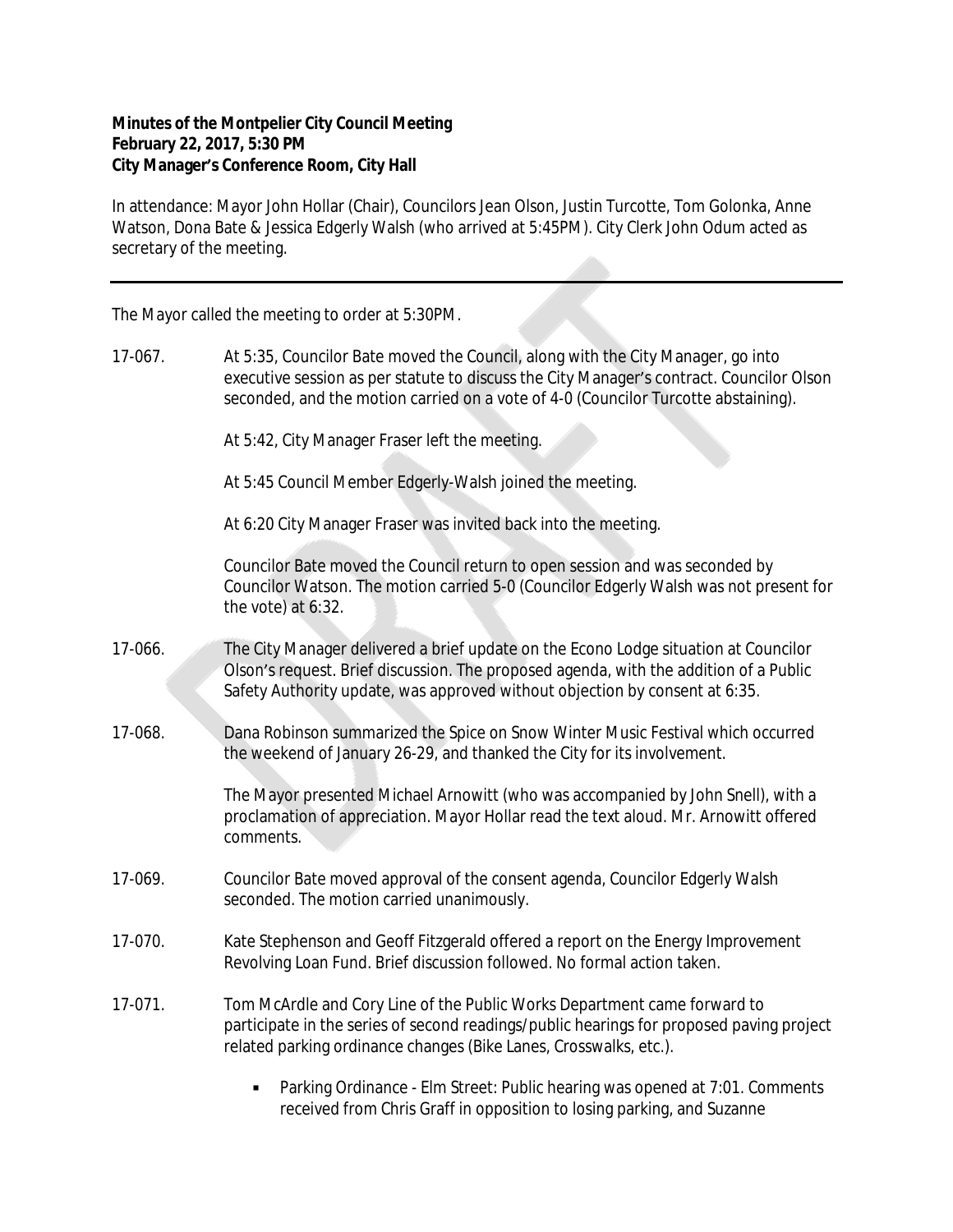## **Minutes of the Montpelier City Council Meeting February 22, 2017, 5:30 PM City Manager's Conference Room, City Hall**

In attendance: Mayor John Hollar (Chair), Councilors Jean Olson, Justin Turcotte, Tom Golonka, Anne Watson, Dona Bate & Jessica Edgerly Walsh (who arrived at 5:45PM). City Clerk John Odum acted as secretary of the meeting.

The Mayor called the meeting to order at 5:30PM.

17-067. At 5:35, Councilor Bate moved the Council, along with the City Manager, go into executive session as per statute to discuss the City Manager's contract. Councilor Olson seconded, and the motion carried on a vote of 4-0 (Councilor Turcotte abstaining).

At 5:42, City Manager Fraser left the meeting.

At 5:45 Council Member Edgerly-Walsh joined the meeting.

At 6:20 City Manager Fraser was invited back into the meeting.

Councilor Bate moved the Council return to open session and was seconded by Councilor Watson. The motion carried 5-0 (Councilor Edgerly Walsh was not present for the vote) at 6:32.

- 17-066. The City Manager delivered a brief update on the Econo Lodge situation at Councilor Olson's request. Brief discussion. The proposed agenda, with the addition of a Public Safety Authority update, was approved without objection by consent at 6:35.
- 17-068. Dana Robinson summarized the Spice on Snow Winter Music Festival which occurred the weekend of January 26-29, and thanked the City for its involvement.

The Mayor presented Michael Arnowitt (who was accompanied by John Snell), with a proclamation of appreciation. Mayor Hollar read the text aloud. Mr. Arnowitt offered comments.

- 17-069. Councilor Bate moved approval of the consent agenda, Councilor Edgerly Walsh seconded. The motion carried unanimously.
- 17-070. Kate Stephenson and Geoff Fitzgerald offered a report on the Energy Improvement Revolving Loan Fund. Brief discussion followed. No formal action taken.
- 17-071. Tom McArdle and Cory Line of the Public Works Department came forward to participate in the series of second readings/public hearings for proposed paving project related parking ordinance changes (Bike Lanes, Crosswalks, etc.).
	- Parking Ordinance Elm Street: Public hearing was opened at 7:01. Comments received from Chris Graff in opposition to losing parking, and Suzanne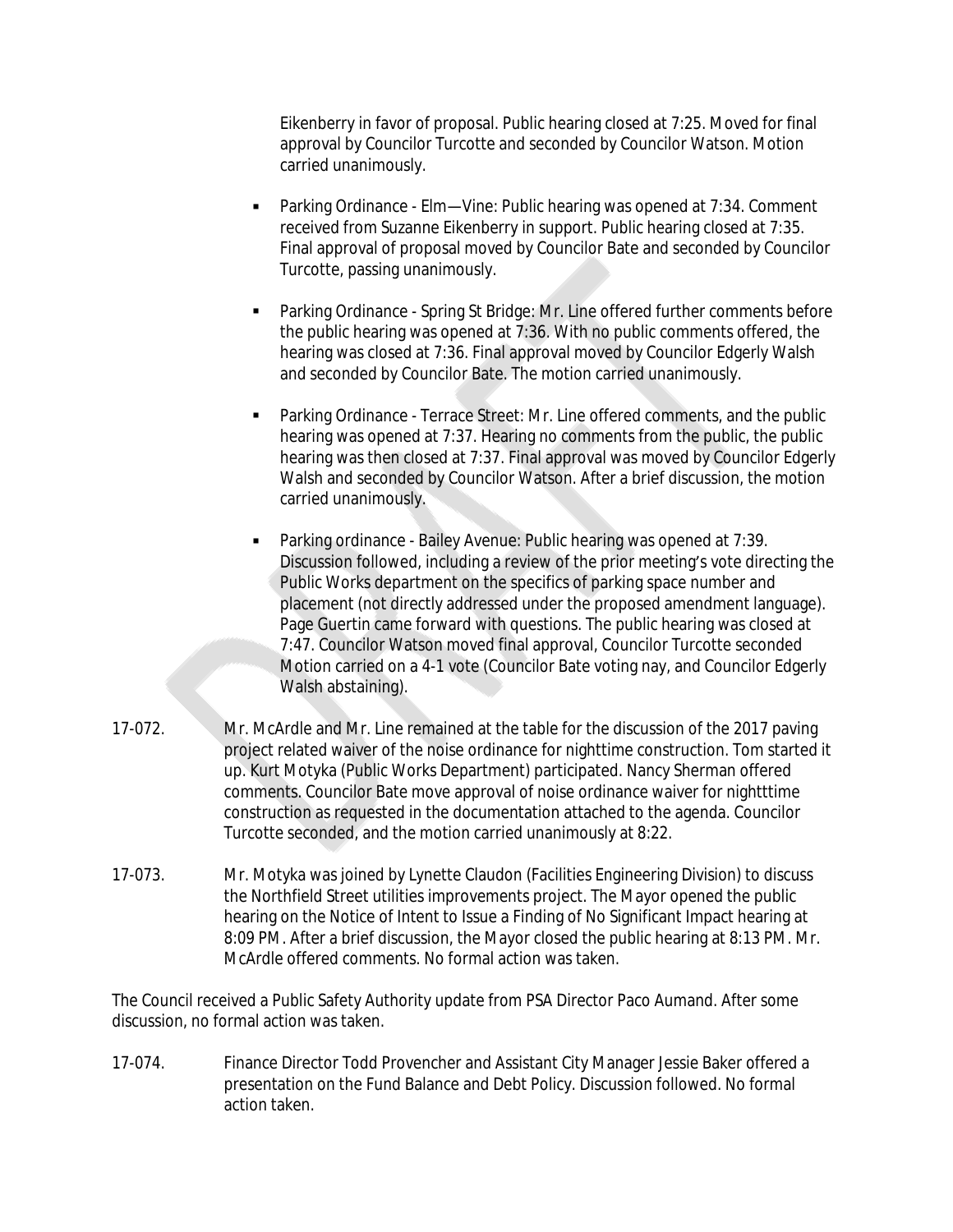Eikenberry in favor of proposal. Public hearing closed at 7:25. Moved for final approval by Councilor Turcotte and seconded by Councilor Watson. Motion carried unanimously.

- Parking Ordinance Elm—Vine: Public hearing was opened at 7:34. Comment received from Suzanne Eikenberry in support. Public hearing closed at 7:35. Final approval of proposal moved by Councilor Bate and seconded by Councilor Turcotte, passing unanimously.
- Parking Ordinance Spring St Bridge: Mr. Line offered further comments before the public hearing was opened at 7:36. With no public comments offered, the hearing was closed at 7:36. Final approval moved by Councilor Edgerly Walsh and seconded by Councilor Bate. The motion carried unanimously.
- Parking Ordinance Terrace Street: Mr. Line offered comments, and the public hearing was opened at 7:37. Hearing no comments from the public, the public hearing was then closed at 7:37. Final approval was moved by Councilor Edgerly Walsh and seconded by Councilor Watson. After a brief discussion, the motion carried unanimously.
- Parking ordinance Bailey Avenue: Public hearing was opened at 7:39. Discussion followed, including a review of the prior meeting's vote directing the Public Works department on the specifics of parking space number and placement (not directly addressed under the proposed amendment language). Page Guertin came forward with questions. The public hearing was closed at 7:47. Councilor Watson moved final approval, Councilor Turcotte seconded Motion carried on a 4-1 vote (Councilor Bate voting nay, and Councilor Edgerly Walsh abstaining).
- 17-072. Mr. McArdle and Mr. Line remained at the table for the discussion of the 2017 paving project related waiver of the noise ordinance for nighttime construction. Tom started it up. Kurt Motyka (Public Works Department) participated. Nancy Sherman offered comments. Councilor Bate move approval of noise ordinance waiver for nightttime construction as requested in the documentation attached to the agenda. Councilor Turcotte seconded, and the motion carried unanimously at 8:22.
- 17-073. Mr. Motyka was joined by Lynette Claudon (Facilities Engineering Division) to discuss the Northfield Street utilities improvements project. The Mayor opened the public hearing on the Notice of Intent to Issue a Finding of No Significant Impact hearing at 8:09 PM. After a brief discussion, the Mayor closed the public hearing at 8:13 PM. Mr. McArdle offered comments. No formal action was taken.

The Council received a Public Safety Authority update from PSA Director Paco Aumand. After some discussion, no formal action was taken.

17-074. Finance Director Todd Provencher and Assistant City Manager Jessie Baker offered a presentation on the Fund Balance and Debt Policy. Discussion followed. No formal action taken.